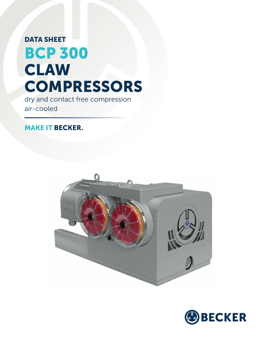## DATA SHEET BCP 300 CLAW **COMPRESSORS**

dry and contact free compression air-cooled

## MAKE IT BECKER.



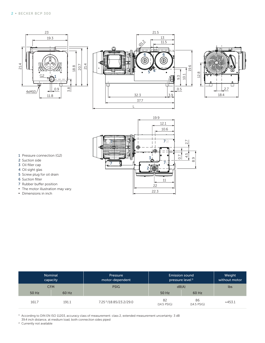







- 1 Pressure connection (G2)
- 2 Suction side
- 3 Oil filler cap
- 4 Oil sight glas
- 5 Screw plug for oil drain
- 6 Suction filter
- 7 Rubber buffer position
- **•** The motor illustration may vary.
- **▪** Dimensions in inch

| Nominal<br>capacity |       | Pressure<br>motor-dependent        |                     | <b>Emission sound</b><br>pressure level <sup>1)</sup> | Weight<br>without motor |  |
|---------------------|-------|------------------------------------|---------------------|-------------------------------------------------------|-------------------------|--|
| <b>CFM</b>          |       | <b>PSIG</b>                        | dB(A)               | lbs                                                   |                         |  |
| 50 Hz               | 60 Hz |                                    | 50 Hz               | 60 Hz                                                 |                         |  |
| 161.7               | 191.1 | 7.25 <sup>2</sup> /18.85/23.2/29.0 | 82<br>$(14.5$ PSIG) | 86<br>$(14.5$ PSIG)                                   | $\approx$ 453.1         |  |

 $^{\rm 1)}$  According to DIN EN ISO 11203, accuracy class of measurement: class 2, extended measurement uncertainty: 3 dB 39.4 inch distance, at medium load, both connection sides piped

<sup>2)</sup> Currently not available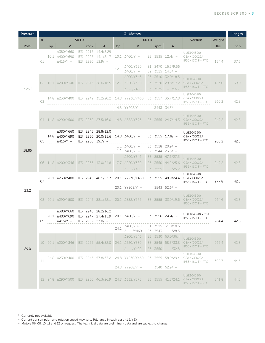| Pressure           | $3 -$ Motors |                           |                                                     |            |     |                                                        |      |                                                                              |   | Length   |                                                                 |                                                                                                                          |       |      |
|--------------------|--------------|---------------------------|-----------------------------------------------------|------------|-----|--------------------------------------------------------|------|------------------------------------------------------------------------------|---|----------|-----------------------------------------------------------------|--------------------------------------------------------------------------------------------------------------------------|-------|------|
|                    | #            | 50 Hz<br>60 Hz<br>Version |                                                     |            |     |                                                        |      | Weight                                                                       | L |          |                                                                 |                                                                                                                          |       |      |
| <b>PSIG</b>        |              | hp                        | V                                                   |            | rpm | A                                                      | hp   | $\vee$                                                                       |   | rpm      | A                                                               |                                                                                                                          | lbs   | inch |
| 7.25 <sup>11</sup> | 01           |                           | ∆380/Y660<br>10.1 $\triangle$ 400/Y690<br>∆415/Y –  | IE3<br>IE3 |     | 2915 14.4/8.29<br>2925 14.1/8.17<br>$IE3 2930 13.9/ -$ | 12.1 | $10.1 \Delta 460/Y -$ IE3 3535 12.4/ -<br>∆400/Y690<br>$\triangle$ 460/Y $-$ |   |          | IE1 3470 16.5/9.56<br>$ E2 \t3515 \t14.3/ -$                    | UL(E104590)<br>CSA • CC029A<br>IP55 • ISO F • PTC                                                                        | 154.4 | 37.5 |
|                    |              |                           | 02 10.1 4200/Y346 IE3 2945 28.6/16.5                |            |     |                                                        |      | ∆200/Y346<br>12.1 A220/Y380<br>$\Delta - Y400$                               |   | IE3 3535 | IE3 3510 32.0/18.5<br>IE3 3530 29.8/17.2<br>$-$ /16.7           | UL(E104590)<br>CSA · CC029A<br>IP55 . ISO F . PTC                                                                        | 183.0 | 39.0 |
|                    | 0.3          |                           |                                                     |            |     |                                                        |      | 14.8 YY208/Y - 3443 34.3/ -                                                  |   |          |                                                                 | UL(E104590)<br>CSA • CC029A<br>$IP55 \cdot ISO F \cdot PTC$                                                              | 260.2 | 42.8 |
|                    |              |                           | 04 14.8 A290/Y500 IE3 2950 27.5/16.0 14.8 A332/Y575 |            |     |                                                        |      |                                                                              |   |          | IE3 3555 24.7/14.3                                              | UL(E104590)<br>CSA · CC029A<br>IP55 • ISO F • PTC                                                                        | 249.2 | 42.8 |
| 18.85              | 05           |                           | ∆380/Y660<br>14.8 $\triangle$ 400/Y690<br>Δ415/Υ -  |            |     | IE3 2945 28.8/12.0<br>IE3 2950 19.7/ -                 |      | IE3 2950 20.0/11.6 14.8 A460/Y -                                             |   |          | $IE3$ 3555 17.8/ -                                              | UL(E104590)<br>CSA . CC029A<br>IP55 . ISO F . PTC                                                                        | 260.2 | 42.8 |
|                    |              |                           |                                                     |            |     |                                                        |      | $17.7$ $\triangle 460/Y$ -<br>$\triangle 400/Y -$                            |   |          | IE3 3518 20.9/ -<br>$ E2 \t3544 \t23.5/ -$                      |                                                                                                                          |       |      |
|                    |              |                           | 06 14.8 $\triangle$ 200/Y346 IE3 2955 43.0/24.8     |            |     |                                                        |      | △200/Y346<br>17.7 A220/Y380<br>$\triangle$ - /Y400                           |   | IE3 3555 | IE3 3535 47.6/27.5<br>IE3 3550 44.2/25.6<br>$-$ /25.2           | UL(E104590)<br>CSA · CC029A<br>IP55 • ISO F • PTC                                                                        | 249.2 | 42.8 |
| 23.2               | 07           |                           |                                                     |            |     |                                                        |      |                                                                              |   |          |                                                                 | UL(E104590)<br>20.1 Δ230/Y400 IE3 2945 48.1/27.7 20.1 YY230/Y460 IE3 3555 48.9/24.4 CSA · CC029A<br>IP55 . ISO F . PTC   | 277.8 | 42.8 |
|                    |              |                           |                                                     |            |     |                                                        |      | 20.1 YY208/Y -                                                               |   |          | $3543$ 52.6/ $-$                                                |                                                                                                                          |       |      |
|                    |              |                           |                                                     |            |     |                                                        |      |                                                                              |   |          |                                                                 | UL(E104590)<br>08 20.1 4290/Y500 IE3 2945 38.1/22.1 20.1 4332/Y575 IE3 3555 33.9/19.6 CSA · CC029A<br>IP55 • ISO F • PTC | 264.6 | 42.8 |
| 29.0               | 09           |                           | △380/Y660<br>20.1   400/Y690<br>$\Delta$ 415/Y $-$  |            |     | IE3 2940 28.2/16.2<br>IE3 2952 27.0/ -                 |      | IE3 2947 27.4/15.9 20.1 $\triangle 460/Y$ - IE3 3556 24.4/ -                 |   |          |                                                                 | UL(E104590) • CSA<br>IP55 . ISO F . PTC                                                                                  | 284.4 | 42.8 |
|                    |              |                           |                                                     |            |     |                                                        | 24.1 | △400/Y690<br>$\triangle$ - /Y460                                             |   | IE3 3543 | IE1 3515 31.8/18.5<br>$-$ /28.3                                 |                                                                                                                          |       |      |
|                    |              |                           | 10 20.1 Δ200/Υ346 IE3 2955 55.4/32.0                |            |     |                                                        |      | △200/Y346<br>24.1 A220/Y380<br>$\triangle$ - /Y400                           |   |          | IE3 3530 63.0/36.4<br>IE3 3545 58.3/33.8<br>$ ES $ 3550 - /32.8 | UL(E104590)<br>CSA • CC029A<br>IP55 . ISO F . PTC                                                                        | 262.4 | 42.8 |
|                    | 11           |                           |                                                     |            |     |                                                        |      |                                                                              |   |          |                                                                 | UL(E104590)<br>24.8 4230/Y400 IE3 2945 57.8/33.2 24.8 YY230/Y460 IE3 3555 58.9/29.4 CSA · CC029A<br>IP55 • ISO F • PTC   | 308.7 | 44.5 |
|                    |              |                           |                                                     |            |     |                                                        |      | $24.8$ YY208/Y $-$                                                           |   |          | $3540$ 62.9/ -                                                  |                                                                                                                          |       |      |
|                    |              |                           |                                                     |            |     |                                                        |      |                                                                              |   |          |                                                                 | UL(E104590)<br>12 24.8 A290/Y500 IE3 2950 46.3/26.9 24.8 A332/Y575 IE3 3555 41.8/24.1 CSA CC029A<br>IP55 • ISO F • PTC   | 341.8 | 44.5 |

<sup>1</sup> Currently not available

**▪** Current consumption and rotation speed may vary. Tolerance in each case -1.5/+2%

**▪** Motors 06, 08, 10, 11 and 12 on request. The technical data are preliminary data and are subject to change.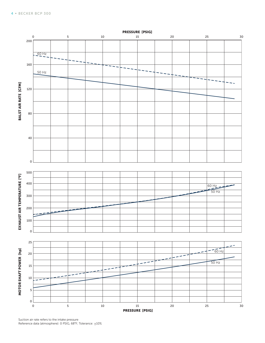

Suction air rate refers to the intake pressure Reference data (atmosphere): 0 PSIG, 68°F; Tolerance:  $\pm 10\%$